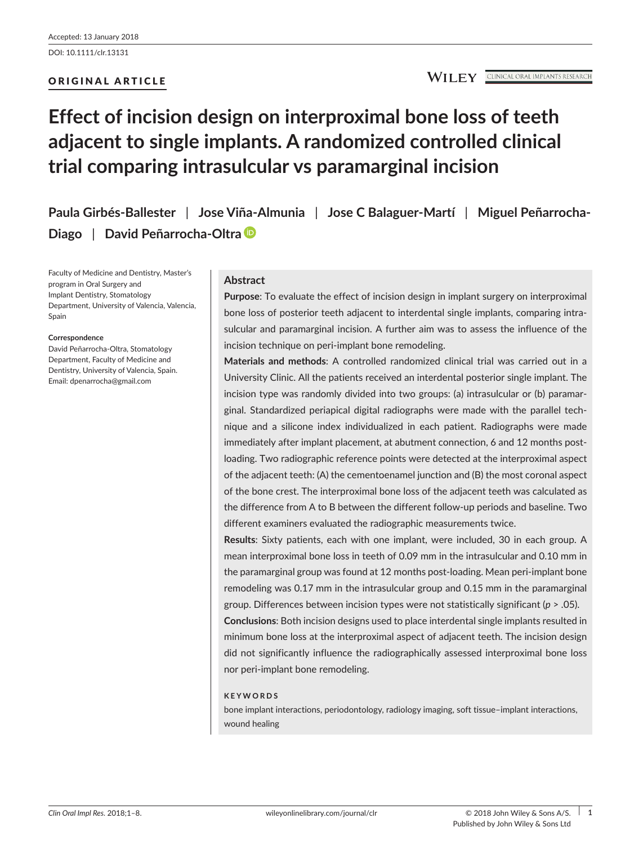ORIGINAL ARTICLE

# **Effect of incision design on interproximal bone loss of teeth adjacent to single implants. A randomized controlled clinical trial comparing intrasulcular vs paramarginal incision**

**Paula Girbés-Ballester** | **Jose Viña-Almunia** | **Jose C Balaguer-Martí** | **Miguel Peñarrocha-Diago** | **David Peñarrocha-Oltra**

Faculty of Medicine and Dentistry, Master's program in Oral Surgery and Implant Dentistry, Stomatology Department, University of Valencia, Valencia, Spain

#### **Correspondence**

David Peñarrocha-Oltra, Stomatology Department, Faculty of Medicine and Dentistry, University of Valencia, Spain. Email: [dpenarrocha@gmail.com](mailto:dpenarrocha@gmail.com)

## **Abstract**

**Purpose**: To evaluate the effect of incision design in implant surgery on interproximal bone loss of posterior teeth adjacent to interdental single implants, comparing intrasulcular and paramarginal incision. A further aim was to assess the influence of the incision technique on peri-implant bone remodeling.

**Materials and methods**: A controlled randomized clinical trial was carried out in a University Clinic. All the patients received an interdental posterior single implant. The incision type was randomly divided into two groups: (a) intrasulcular or (b) paramarginal. Standardized periapical digital radiographs were made with the parallel technique and a silicone index individualized in each patient. Radiographs were made immediately after implant placement, at abutment connection, 6 and 12 months postloading. Two radiographic reference points were detected at the interproximal aspect of the adjacent teeth: (A) the cementoenamel junction and (B) the most coronal aspect of the bone crest. The interproximal bone loss of the adjacent teeth was calculated as the difference from A to B between the different follow-up periods and baseline. Two different examiners evaluated the radiographic measurements twice.

**Results**: Sixty patients, each with one implant, were included, 30 in each group. A mean interproximal bone loss in teeth of 0.09 mm in the intrasulcular and 0.10 mm in the paramarginal group was found at 12 months post-loading. Mean peri-implant bone remodeling was 0.17 mm in the intrasulcular group and 0.15 mm in the paramarginal group. Differences between incision types were not statistically significant (*p* > .05).

**Conclusions**: Both incision designs used to place interdental single implants resulted in minimum bone loss at the interproximal aspect of adjacent teeth. The incision design did not significantly influence the radiographically assessed interproximal bone loss nor peri-implant bone remodeling.

## **KEYWORDS**

bone implant interactions, periodontology, radiology imaging, soft tissue–implant interactions, wound healing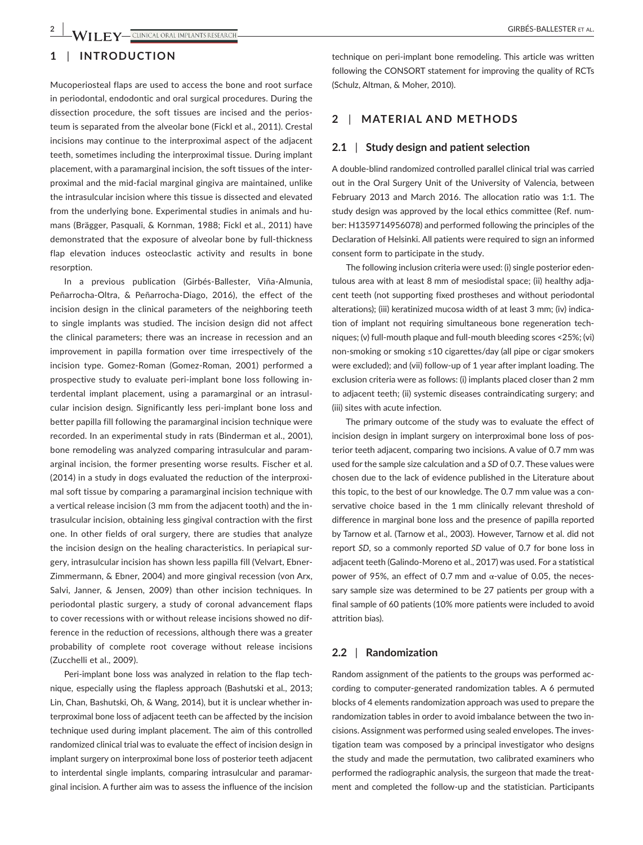# **1** | **INTRODUCTION**

Mucoperiosteal flaps are used to access the bone and root surface in periodontal, endodontic and oral surgical procedures. During the dissection procedure, the soft tissues are incised and the periosteum is separated from the alveolar bone (Fickl et al., 2011). Crestal incisions may continue to the interproximal aspect of the adjacent teeth, sometimes including the interproximal tissue. During implant placement, with a paramarginal incision, the soft tissues of the interproximal and the mid-facial marginal gingiva are maintained, unlike the intrasulcular incision where this tissue is dissected and elevated from the underlying bone. Experimental studies in animals and humans (Brägger, Pasquali, & Kornman, 1988; Fickl et al., 2011) have demonstrated that the exposure of alveolar bone by full-thickness flap elevation induces osteoclastic activity and results in bone resorption.

In a previous publication (Girbés-Ballester, Viña-Almunia, Peñarrocha-Oltra, & Peñarrocha-Diago, 2016), the effect of the incision design in the clinical parameters of the neighboring teeth to single implants was studied. The incision design did not affect the clinical parameters; there was an increase in recession and an improvement in papilla formation over time irrespectively of the incision type. Gomez-Roman (Gomez-Roman, 2001) performed a prospective study to evaluate peri-implant bone loss following interdental implant placement, using a paramarginal or an intrasulcular incision design. Significantly less peri-implant bone loss and better papilla fill following the paramarginal incision technique were recorded. In an experimental study in rats (Binderman et al., 2001), bone remodeling was analyzed comparing intrasulcular and paramarginal incision, the former presenting worse results. Fischer et al. (2014) in a study in dogs evaluated the reduction of the interproximal soft tissue by comparing a paramarginal incision technique with a vertical release incision (3 mm from the adjacent tooth) and the intrasulcular incision, obtaining less gingival contraction with the first one. In other fields of oral surgery, there are studies that analyze the incision design on the healing characteristics. In periapical surgery, intrasulcular incision has shown less papilla fill (Velvart, Ebner-Zimmermann, & Ebner, 2004) and more gingival recession (von Arx, Salvi, Janner, & Jensen, 2009) than other incision techniques. In periodontal plastic surgery, a study of coronal advancement flaps to cover recessions with or without release incisions showed no difference in the reduction of recessions, although there was a greater probability of complete root coverage without release incisions (Zucchelli et al., 2009).

Peri-implant bone loss was analyzed in relation to the flap technique, especially using the flapless approach (Bashutski et al., 2013; Lin, Chan, Bashutski, Oh, & Wang, 2014), but it is unclear whether interproximal bone loss of adjacent teeth can be affected by the incision technique used during implant placement. The aim of this controlled randomized clinical trial was to evaluate the effect of incision design in implant surgery on interproximal bone loss of posterior teeth adjacent to interdental single implants, comparing intrasulcular and paramarginal incision. A further aim was to assess the influence of the incision

technique on peri-implant bone remodeling. This article was written following the CONSORT statement for improving the quality of RCTs (Schulz, Altman, & Moher, 2010).

# **2** | **MATERIAL AND METHODS**

#### **2.1** | **Study design and patient selection**

A double-blind randomized controlled parallel clinical trial was carried out in the Oral Surgery Unit of the University of Valencia, between February 2013 and March 2016. The allocation ratio was 1:1. The study design was approved by the local ethics committee (Ref. number: H1359714956078) and performed following the principles of the Declaration of Helsinki. All patients were required to sign an informed consent form to participate in the study.

The following inclusion criteria were used: (i) single posterior edentulous area with at least 8 mm of mesiodistal space; (ii) healthy adjacent teeth (not supporting fixed prostheses and without periodontal alterations); (iii) keratinized mucosa width of at least 3 mm; (iv) indication of implant not requiring simultaneous bone regeneration techniques; (v) full-mouth plaque and full-mouth bleeding scores <25%; (vi) non-smoking or smoking ≤10 cigarettes/day (all pipe or cigar smokers were excluded); and (vii) follow-up of 1 year after implant loading. The exclusion criteria were as follows: (i) implants placed closer than 2 mm to adjacent teeth; (ii) systemic diseases contraindicating surgery; and (iii) sites with acute infection.

The primary outcome of the study was to evaluate the effect of incision design in implant surgery on interproximal bone loss of posterior teeth adjacent, comparing two incisions. A value of 0.7 mm was used for the sample size calculation and a *SD* of 0.7. These values were chosen due to the lack of evidence published in the Literature about this topic, to the best of our knowledge. The 0.7 mm value was a conservative choice based in the 1 mm clinically relevant threshold of difference in marginal bone loss and the presence of papilla reported by Tarnow et al. (Tarnow et al., 2003). However, Tarnow et al. did not report *SD*, so a commonly reported *SD* value of 0.7 for bone loss in adjacent teeth (Galindo-Moreno et al., 2017) was used. For a statistical power of 95%, an effect of 0.7 mm and  $α$ -value of 0.05, the necessary sample size was determined to be 27 patients per group with a final sample of 60 patients (10% more patients were included to avoid attrition bias).

#### **2.2** | **Randomization**

Random assignment of the patients to the groups was performed according to computer-generated randomization tables. A 6 permuted blocks of 4 elements randomization approach was used to prepare the randomization tables in order to avoid imbalance between the two incisions. Assignment was performed using sealed envelopes. The investigation team was composed by a principal investigator who designs the study and made the permutation, two calibrated examiners who performed the radiographic analysis, the surgeon that made the treatment and completed the follow-up and the statistician. Participants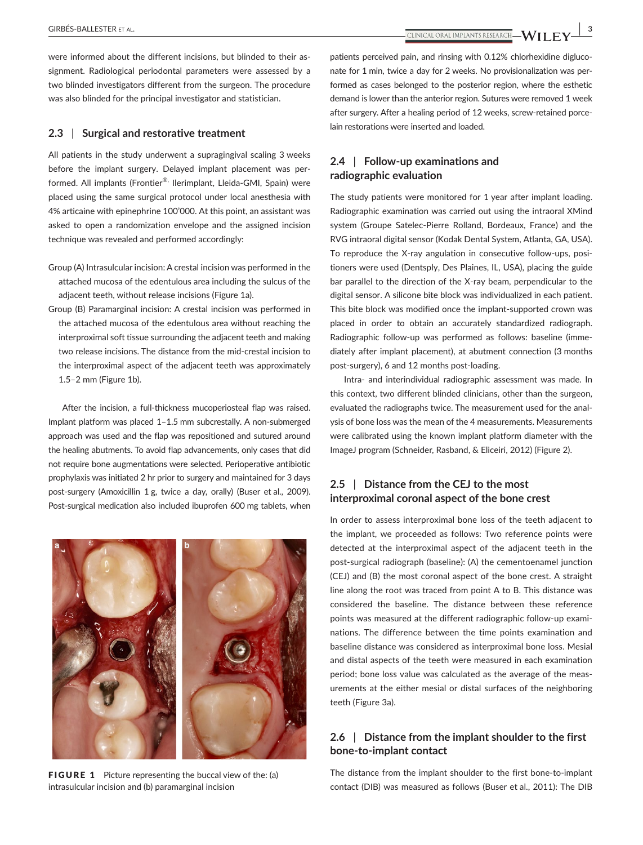**|** GIRBÉS-BALLESTER et al. **3**

were informed about the different incisions, but blinded to their assignment. Radiological periodontal parameters were assessed by a two blinded investigators different from the surgeon. The procedure was also blinded for the principal investigator and statistician.

#### **2.3** | **Surgical and restorative treatment**

All patients in the study underwent a supragingival scaling 3 weeks before the implant surgery. Delayed implant placement was performed. All implants (Frontier®, Ilerimplant, Lleida-GMI, Spain) were placed using the same surgical protocol under local anesthesia with 4% articaine with epinephrine 100'000. At this point, an assistant was asked to open a randomization envelope and the assigned incision technique was revealed and performed accordingly:

- Group (A) Intrasulcular incision: A crestal incision was performed in the attached mucosa of the edentulous area including the sulcus of the adjacent teeth, without release incisions (Figure 1a).
- Group (B) Paramarginal incision: A crestal incision was performed in the attached mucosa of the edentulous area without reaching the interproximal soft tissue surrounding the adjacent teeth and making two release incisions. The distance from the mid-crestal incision to the interproximal aspect of the adjacent teeth was approximately 1.5–2 mm (Figure 1b).

After the incision, a full-thickness mucoperiosteal flap was raised. Implant platform was placed 1–1.5 mm subcrestally. A non-submerged approach was used and the flap was repositioned and sutured around the healing abutments. To avoid flap advancements, only cases that did not require bone augmentations were selected. Perioperative antibiotic prophylaxis was initiated 2 hr prior to surgery and maintained for 3 days post-surgery (Amoxicillin 1 g, twice a day, orally) (Buser et al., 2009). Post-surgical medication also included ibuprofen 600 mg tablets, when



**FIGURE 1** Picture representing the buccal view of the: (a) intrasulcular incision and (b) paramarginal incision

patients perceived pain, and rinsing with 0.12% chlorhexidine digluconate for 1 min, twice a day for 2 weeks. No provisionalization was performed as cases belonged to the posterior region, where the esthetic demand is lower than the anterior region. Sutures were removed 1 week after surgery. After a healing period of 12 weeks, screw-retained porcelain restorations were inserted and loaded.

## **2.4** | **Follow-up examinations and radiographic evaluation**

The study patients were monitored for 1 year after implant loading. Radiographic examination was carried out using the intraoral XMind system (Groupe Satelec-Pierre Rolland, Bordeaux, France) and the RVG intraoral digital sensor (Kodak Dental System, Atlanta, GA, USA). To reproduce the X-ray angulation in consecutive follow-ups, positioners were used (Dentsply, Des Plaines, IL, USA), placing the guide bar parallel to the direction of the X-ray beam, perpendicular to the digital sensor. A silicone bite block was individualized in each patient. This bite block was modified once the implant-supported crown was placed in order to obtain an accurately standardized radiograph. Radiographic follow-up was performed as follows: baseline (immediately after implant placement), at abutment connection (3 months post-surgery), 6 and 12 months post-loading.

Intra- and interindividual radiographic assessment was made. In this context, two different blinded clinicians, other than the surgeon, evaluated the radiographs twice. The measurement used for the analysis of bone loss was the mean of the 4 measurements. Measurements were calibrated using the known implant platform diameter with the ImageJ program (Schneider, Rasband, & Eliceiri, 2012) (Figure 2).

# **2.5** | **Distance from the CEJ to the most interproximal coronal aspect of the bone crest**

In order to assess interproximal bone loss of the teeth adjacent to the implant, we proceeded as follows: Two reference points were detected at the interproximal aspect of the adjacent teeth in the post-surgical radiograph (baseline): (A) the cementoenamel junction (CEJ) and (B) the most coronal aspect of the bone crest. A straight line along the root was traced from point A to B. This distance was considered the baseline. The distance between these reference points was measured at the different radiographic follow-up examinations. The difference between the time points examination and baseline distance was considered as interproximal bone loss. Mesial and distal aspects of the teeth were measured in each examination period; bone loss value was calculated as the average of the measurements at the either mesial or distal surfaces of the neighboring teeth (Figure 3a).

## **2.6** | **Distance from the implant shoulder to the first bone-to-implant contact**

The distance from the implant shoulder to the first bone-to-implant contact (DIB) was measured as follows (Buser et al., 2011): The DIB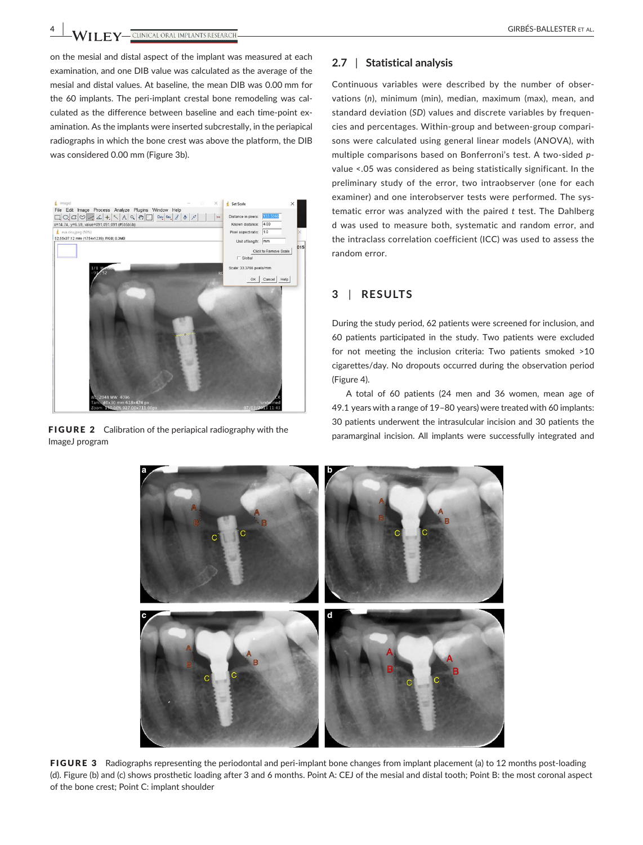**4 |**  GIRBÉS-BALLESTER et al.

on the mesial and distal aspect of the implant was measured at each examination, and one DIB value was calculated as the average of the mesial and distal values. At baseline, the mean DIB was 0.00 mm for the 60 implants. The peri-implant crestal bone remodeling was calculated as the difference between baseline and each time-point examination. As the implants were inserted subcrestally, in the periapical radiographs in which the bone crest was above the platform, the DIB was considered 0.00 mm (Figure 3b).



ImageJ program

## **2.7** | **Statistical analysis**

Continuous variables were described by the number of observations (*n*), minimum (min), median, maximum (max), mean, and standard deviation (*SD*) values and discrete variables by frequencies and percentages. Within-group and between-group comparisons were calculated using general linear models (ANOVA), with multiple comparisons based on Bonferroni's test. A two-sided *p*value <.05 was considered as being statistically significant. In the preliminary study of the error, two intraobserver (one for each examiner) and one interobserver tests were performed. The systematic error was analyzed with the paired *t* test. The Dahlberg d was used to measure both, systematic and random error, and the intraclass correlation coefficient (ICC) was used to assess the random error.

# **3** | **RESULTS**

During the study period, 62 patients were screened for inclusion, and 60 patients participated in the study. Two patients were excluded for not meeting the inclusion criteria: Two patients smoked >10 cigarettes/day. No dropouts occurred during the observation period (Figure 4).

A total of 60 patients (24 men and 36 women, mean age of 49.1 years with a range of 19–80 years) were treated with 60 implants: 30 patients underwent the intrasulcular incision and 30 patients the **FIGURE 2** Calibration of the periapical radiography with the paramarginal incision. All implants were successfully integrated and paramarginal radiography with the paramarginal incision. All implants were successfully int



FIGURE 3 Radiographs representing the periodontal and peri-implant bone changes from implant placement (a) to 12 months post-loading (d). Figure (b) and (c) shows prosthetic loading after 3 and 6 months. Point A: CEJ of the mesial and distal tooth; Point B: the most coronal aspect of the bone crest; Point C: implant shoulder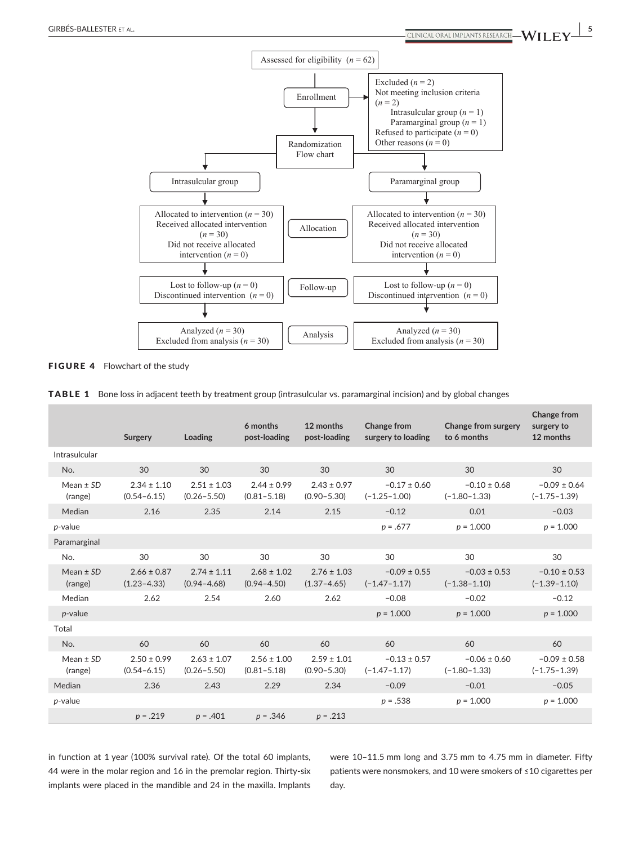



|  | <b>TABLE 1</b> Bone loss in adjacent teeth by treatment group (intrasulcular vs. paramarginal incision) and by global changes |  |  |  |
|--|-------------------------------------------------------------------------------------------------------------------------------|--|--|--|
|--|-------------------------------------------------------------------------------------------------------------------------------|--|--|--|

|                          | Surgery                            | Loading                            | 6 months<br>post-loading           | 12 months<br>post-loading          | Change from<br>surgery to loading    | Change from surgery<br>to 6 months   | <b>Change from</b><br>surgery to<br>12 months |
|--------------------------|------------------------------------|------------------------------------|------------------------------------|------------------------------------|--------------------------------------|--------------------------------------|-----------------------------------------------|
| Intrasulcular            |                                    |                                    |                                    |                                    |                                      |                                      |                                               |
| No.                      | 30                                 | 30                                 | 30                                 | 30                                 | 30                                   | 30                                   | 30                                            |
| Mean $\pm$ SD<br>(range) | $2.34 \pm 1.10$<br>$(0.54 - 6.15)$ | $2.51 \pm 1.03$<br>$(0.26 - 5.50)$ | $2.44 \pm 0.99$<br>$(0.81 - 5.18)$ | $2.43 \pm 0.97$<br>$(0.90 - 5.30)$ | $-0.17 \pm 0.60$<br>$(-1.25 - 1.00)$ | $-0.10 \pm 0.68$<br>$(-1.80 - 1.33)$ | $-0.09 \pm 0.64$<br>$(-1.75 - 1.39)$          |
| Median                   | 2.16                               | 2.35                               | 2.14                               | 2.15                               | $-0.12$                              | 0.01                                 | $-0.03$                                       |
| $p$ -value               |                                    |                                    |                                    |                                    | $p = .677$                           | $p = 1.000$                          | $p = 1.000$                                   |
| Paramarginal             |                                    |                                    |                                    |                                    |                                      |                                      |                                               |
| No.                      | 30                                 | 30                                 | 30                                 | 30                                 | 30                                   | 30                                   | 30                                            |
| Mean $\pm$ SD<br>(range) | $2.66 \pm 0.87$<br>$(1.23 - 4.33)$ | $2.74 \pm 1.11$<br>$(0.94 - 4.68)$ | $2.68 \pm 1.02$<br>$(0.94 - 4.50)$ | $2.76 \pm 1.03$<br>$(1.37 - 4.65)$ | $-0.09 \pm 0.55$<br>$(-1.47 - 1.17)$ | $-0.03 \pm 0.53$<br>$(-1.38 - 1.10)$ | $-0.10 \pm 0.53$<br>$(-1.39 - 1.10)$          |
| Median                   | 2.62                               | 2.54                               | 2.60                               | 2.62                               | $-0.08$                              | $-0.02$                              | $-0.12$                                       |
| $p$ -value               |                                    |                                    |                                    |                                    | $p = 1.000$                          | $p = 1.000$                          | $p = 1.000$                                   |
| Total                    |                                    |                                    |                                    |                                    |                                      |                                      |                                               |
| No.                      | 60                                 | 60                                 | 60                                 | 60                                 | 60                                   | 60                                   | 60                                            |
| Mean $\pm$ SD<br>(range) | $2.50 \pm 0.99$<br>$(0.54 - 6.15)$ | $2.63 \pm 1.07$<br>$(0.26 - 5.50)$ | $2.56 \pm 1.00$<br>$(0.81 - 5.18)$ | $2.59 \pm 1.01$<br>$(0.90 - 5.30)$ | $-0.13 \pm 0.57$<br>$(-1.47 - 1.17)$ | $-0.06 \pm 0.60$<br>$(-1.80 - 1.33)$ | $-0.09 \pm 0.58$<br>$(-1.75 - 1.39)$          |
| Median                   | 2.36                               | 2.43                               | 2.29                               | 2.34                               | $-0.09$                              | $-0.01$                              | $-0.05$                                       |
| $p$ -value               |                                    |                                    |                                    |                                    | $p = .538$                           | $p = 1.000$                          | $p = 1.000$                                   |
|                          | $p = .219$                         | $p = .401$                         | $p = .346$                         | $p = .213$                         |                                      |                                      |                                               |

in function at 1 year (100% survival rate). Of the total 60 implants, 44 were in the molar region and 16 in the premolar region. Thirty-six implants were placed in the mandible and 24 in the maxilla. Implants

were 10–11.5 mm long and 3.75 mm to 4.75 mm in diameter. Fifty patients were nonsmokers, and 10 were smokers of ≤10 cigarettes per day.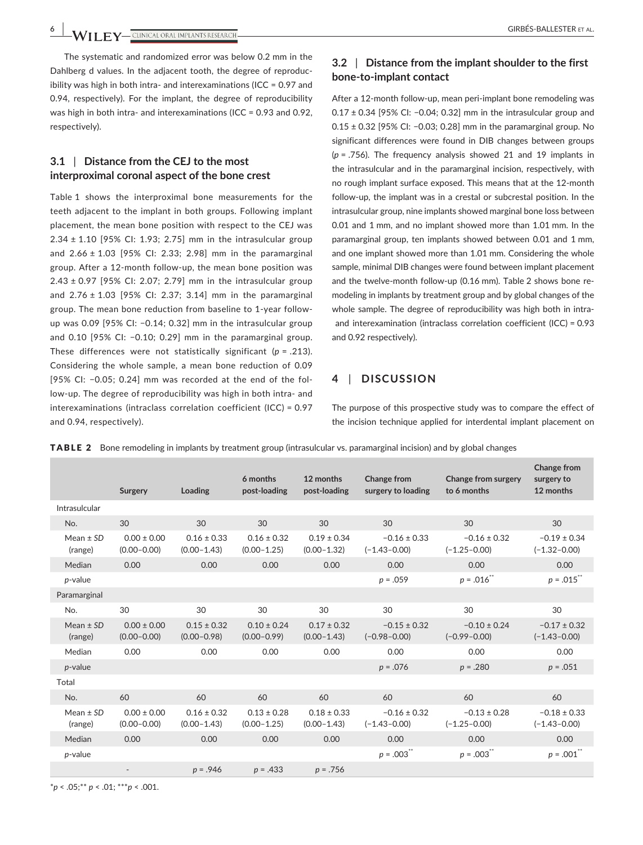**6 |**  GIRBÉS-BALLESTER et al.

The systematic and randomized error was below 0.2 mm in the Dahlberg d values. In the adjacent tooth, the degree of reproducibility was high in both intra- and interexaminations (ICC = 0.97 and 0.94, respectively). For the implant, the degree of reproducibility was high in both intra- and interexaminations (ICC = 0.93 and 0.92, respectively).

# **3.1** | **Distance from the CEJ to the most interproximal coronal aspect of the bone crest**

Table 1 shows the interproximal bone measurements for the teeth adjacent to the implant in both groups. Following implant placement, the mean bone position with respect to the CEJ was 2.34 ± 1.10 [95% CI: 1.93; 2.75] mm in the intrasulcular group and  $2.66 \pm 1.03$  [95% CI: 2.33; 2.98] mm in the paramarginal group. After a 12-month follow-up, the mean bone position was 2.43 ± 0.97 [95% CI: 2.07; 2.79] mm in the intrasulcular group and  $2.76 \pm 1.03$  [95% CI: 2.37; 3.14] mm in the paramarginal group. The mean bone reduction from baseline to 1-year followup was 0.09 [95% CI: −0.14; 0.32] mm in the intrasulcular group and 0.10 [95% CI: −0.10; 0.29] mm in the paramarginal group. These differences were not statistically significant (*p* = .213). Considering the whole sample, a mean bone reduction of 0.09 [95% CI: −0.05; 0.24] mm was recorded at the end of the follow-up. The degree of reproducibility was high in both intra- and interexaminations (intraclass correlation coefficient (ICC) = 0.97 and 0.94, respectively).

# **3.2** | **Distance from the implant shoulder to the first bone-to-implant contact**

After a 12-month follow-up, mean peri-implant bone remodeling was 0.17 ± 0.34 [95% CI: −0.04; 0.32] mm in the intrasulcular group and 0.15 ± 0.32 [95% CI: −0.03; 0.28] mm in the paramarginal group. No significant differences were found in DIB changes between groups (*p* = .756). The frequency analysis showed 21 and 19 implants in the intrasulcular and in the paramarginal incision, respectively, with no rough implant surface exposed. This means that at the 12-month follow-up, the implant was in a crestal or subcrestal position. In the intrasulcular group, nine implants showed marginal bone loss between 0.01 and 1 mm, and no implant showed more than 1.01 mm. In the paramarginal group, ten implants showed between 0.01 and 1 mm, and one implant showed more than 1.01 mm. Considering the whole sample, minimal DIB changes were found between implant placement and the twelve-month follow-up (0.16 mm). Table 2 shows bone remodeling in implants by treatment group and by global changes of the whole sample. The degree of reproducibility was high both in intra and interexamination (intraclass correlation coefficient (ICC) = 0.93 and 0.92 respectively).

## **4** | **DISCUSSION**

The purpose of this prospective study was to compare the effect of the incision technique applied for interdental implant placement on

|                          | Surgery                            | Loading                            | 6 months<br>post-loading           | 12 months<br>post-loading          | Change from<br>surgery to loading    | <b>Change from surgery</b><br>to 6 months | Change from<br>surgery to<br>12 months |
|--------------------------|------------------------------------|------------------------------------|------------------------------------|------------------------------------|--------------------------------------|-------------------------------------------|----------------------------------------|
| Intrasulcular            |                                    |                                    |                                    |                                    |                                      |                                           |                                        |
| No.                      | 30                                 | 30                                 | 30                                 | 30                                 | 30                                   | 30                                        | 30                                     |
| Mean $\pm$ SD<br>(range) | $0.00 \pm 0.00$<br>$(0.00 - 0.00)$ | $0.16 \pm 0.33$<br>$(0.00 - 1.43)$ | $0.16 \pm 0.32$<br>$(0.00 - 1.25)$ | $0.19 \pm 0.34$<br>$(0.00 - 1.32)$ | $-0.16 \pm 0.33$<br>$(-1.43 - 0.00)$ | $-0.16 \pm 0.32$<br>$(-1.25 - 0.00)$      | $-0.19 \pm 0.34$<br>$(-1.32 - 0.00)$   |
| Median                   | 0.00                               | 0.00                               | 0.00                               | 0.00                               | 0.00                                 | 0.00                                      | 0.00                                   |
| $p$ -value               |                                    |                                    |                                    |                                    | $p = .059$                           | $p = .016$ **                             | $p = .015^{\ast\ast}$                  |
| Paramarginal             |                                    |                                    |                                    |                                    |                                      |                                           |                                        |
| No.                      | 30                                 | 30                                 | 30                                 | 30                                 | 30                                   | 30                                        | 30                                     |
| Mean $\pm$ SD<br>(range) | $0.00 \pm 0.00$<br>$(0.00 - 0.00)$ | $0.15 \pm 0.32$<br>$(0.00 - 0.98)$ | $0.10 \pm 0.24$<br>$(0.00 - 0.99)$ | $0.17 \pm 0.32$<br>$(0.00 - 1.43)$ | $-0.15 \pm 0.32$<br>$(-0.98 - 0.00)$ | $-0.10 \pm 0.24$<br>$(-0.99 - 0.00)$      | $-0.17 \pm 0.32$<br>$(-1.43 - 0.00)$   |
| Median                   | 0.00                               | 0.00                               | 0.00                               | 0.00                               | 0.00                                 | 0.00                                      | 0.00                                   |
| $p$ -value               |                                    |                                    |                                    |                                    | $p = .076$                           | $p = .280$                                | $p = .051$                             |
| Total                    |                                    |                                    |                                    |                                    |                                      |                                           |                                        |
| No.                      | 60                                 | 60                                 | 60                                 | 60                                 | 60                                   | 60                                        | 60                                     |
| Mean $\pm$ SD<br>(range) | $0.00 \pm 0.00$<br>$(0.00 - 0.00)$ | $0.16 \pm 0.32$<br>$(0.00 - 1.43)$ | $0.13 \pm 0.28$<br>$(0.00 - 1.25)$ | $0.18 \pm 0.33$<br>$(0.00 - 1.43)$ | $-0.16 \pm 0.32$<br>$(-1.43 - 0.00)$ | $-0.13 \pm 0.28$<br>$(-1.25 - 0.00)$      | $-0.18 \pm 0.33$<br>$(-1.43 - 0.00)$   |
| Median                   | 0.00                               | 0.00                               | 0.00                               | 0.00                               | 0.00                                 | 0.00                                      | 0.00                                   |
| $p$ -value               |                                    |                                    |                                    |                                    | $p = .003$                           | $p = .003$                                | $p = .001$                             |
|                          |                                    | $p = .946$                         | $p = .433$                         | $p = .756$                         |                                      |                                           |                                        |

TABLE 2 Bone remodeling in implants by treatment group (intrasulcular vs. paramarginal incision) and by global changes

\**p* < .05;\*\* *p* < .01; \*\*\**p* < .001.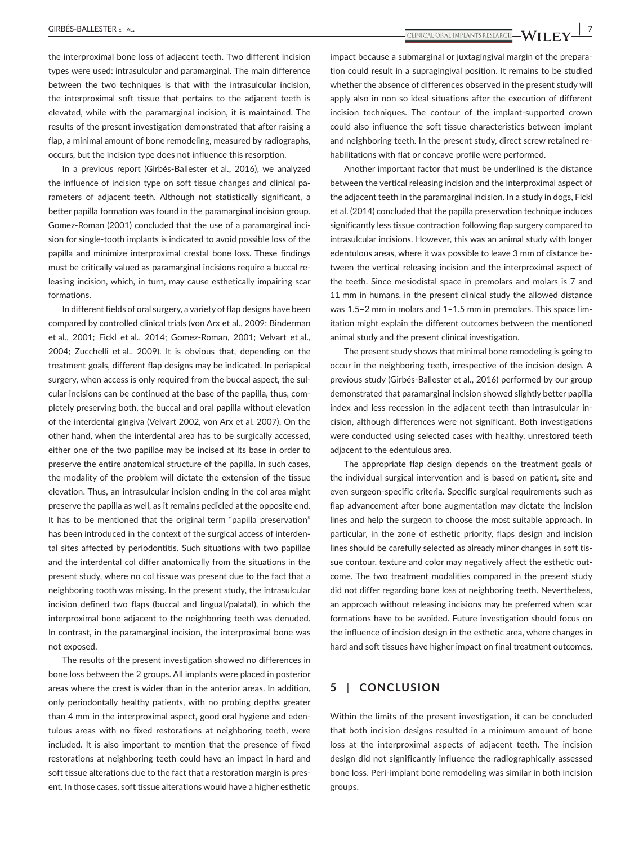**|** GIRBÉS-BALLESTER et al. **7**

the interproximal bone loss of adjacent teeth. Two different incision types were used: intrasulcular and paramarginal. The main difference between the two techniques is that with the intrasulcular incision, the interproximal soft tissue that pertains to the adjacent teeth is elevated, while with the paramarginal incision, it is maintained. The results of the present investigation demonstrated that after raising a flap, a minimal amount of bone remodeling, measured by radiographs, occurs, but the incision type does not influence this resorption.

In a previous report (Girbés-Ballester et al., 2016), we analyzed the influence of incision type on soft tissue changes and clinical parameters of adjacent teeth. Although not statistically significant, a better papilla formation was found in the paramarginal incision group. Gomez-Roman (2001) concluded that the use of a paramarginal incision for single-tooth implants is indicated to avoid possible loss of the papilla and minimize interproximal crestal bone loss. These findings must be critically valued as paramarginal incisions require a buccal releasing incision, which, in turn, may cause esthetically impairing scar formations.

In different fields of oral surgery, a variety of flap designs have been compared by controlled clinical trials (von Arx et al., 2009; Binderman et al., 2001; Fickl et al., 2014; Gomez-Roman, 2001; Velvart et al., 2004; Zucchelli et al., 2009). It is obvious that, depending on the treatment goals, different flap designs may be indicated. In periapical surgery, when access is only required from the buccal aspect, the sulcular incisions can be continued at the base of the papilla, thus, completely preserving both, the buccal and oral papilla without elevation of the interdental gingiva (Velvart 2002, von Arx et al. 2007). On the other hand, when the interdental area has to be surgically accessed, either one of the two papillae may be incised at its base in order to preserve the entire anatomical structure of the papilla. In such cases, the modality of the problem will dictate the extension of the tissue elevation. Thus, an intrasulcular incision ending in the col area might preserve the papilla as well, as it remains pedicled at the opposite end. It has to be mentioned that the original term "papilla preservation" has been introduced in the context of the surgical access of interdental sites affected by periodontitis. Such situations with two papillae and the interdental col differ anatomically from the situations in the present study, where no col tissue was present due to the fact that a neighboring tooth was missing. In the present study, the intrasulcular incision defined two flaps (buccal and lingual/palatal), in which the interproximal bone adjacent to the neighboring teeth was denuded. In contrast, in the paramarginal incision, the interproximal bone was not exposed.

The results of the present investigation showed no differences in bone loss between the 2 groups. All implants were placed in posterior areas where the crest is wider than in the anterior areas. In addition, only periodontally healthy patients, with no probing depths greater than 4 mm in the interproximal aspect, good oral hygiene and edentulous areas with no fixed restorations at neighboring teeth, were included. It is also important to mention that the presence of fixed restorations at neighboring teeth could have an impact in hard and soft tissue alterations due to the fact that a restoration margin is present. In those cases, soft tissue alterations would have a higher esthetic impact because a submarginal or juxtagingival margin of the preparation could result in a supragingival position. It remains to be studied whether the absence of differences observed in the present study will apply also in non so ideal situations after the execution of different incision techniques. The contour of the implant-supported crown could also influence the soft tissue characteristics between implant and neighboring teeth. In the present study, direct screw retained rehabilitations with flat or concave profile were performed.

Another important factor that must be underlined is the distance between the vertical releasing incision and the interproximal aspect of the adjacent teeth in the paramarginal incision. In a study in dogs, Fickl et al. (2014) concluded that the papilla preservation technique induces significantly less tissue contraction following flap surgery compared to intrasulcular incisions. However, this was an animal study with longer edentulous areas, where it was possible to leave 3 mm of distance between the vertical releasing incision and the interproximal aspect of the teeth. Since mesiodistal space in premolars and molars is 7 and 11 mm in humans, in the present clinical study the allowed distance was 1.5–2 mm in molars and 1–1.5 mm in premolars. This space limitation might explain the different outcomes between the mentioned animal study and the present clinical investigation.

The present study shows that minimal bone remodeling is going to occur in the neighboring teeth, irrespective of the incision design. A previous study (Girbés-Ballester et al., 2016) performed by our group demonstrated that paramarginal incision showed slightly better papilla index and less recession in the adjacent teeth than intrasulcular incision, although differences were not significant. Both investigations were conducted using selected cases with healthy, unrestored teeth adjacent to the edentulous area.

The appropriate flap design depends on the treatment goals of the individual surgical intervention and is based on patient, site and even surgeon-specific criteria. Specific surgical requirements such as flap advancement after bone augmentation may dictate the incision lines and help the surgeon to choose the most suitable approach. In particular, in the zone of esthetic priority, flaps design and incision lines should be carefully selected as already minor changes in soft tissue contour, texture and color may negatively affect the esthetic outcome. The two treatment modalities compared in the present study did not differ regarding bone loss at neighboring teeth. Nevertheless, an approach without releasing incisions may be preferred when scar formations have to be avoided. Future investigation should focus on the influence of incision design in the esthetic area, where changes in hard and soft tissues have higher impact on final treatment outcomes.

## **5** | **CONCLUSION**

Within the limits of the present investigation, it can be concluded that both incision designs resulted in a minimum amount of bone loss at the interproximal aspects of adjacent teeth. The incision design did not significantly influence the radiographically assessed bone loss. Peri-implant bone remodeling was similar in both incision groups.